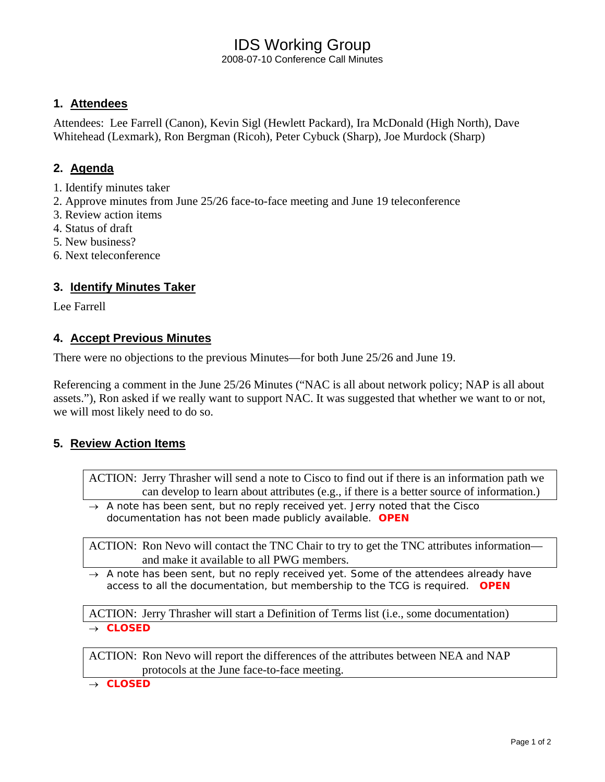# IDS Working Group

2008-07-10 Conference Call Minutes

## **1. Attendees**

Attendees: Lee Farrell (Canon), Kevin Sigl (Hewlett Packard), Ira McDonald (High North), Dave Whitehead (Lexmark), Ron Bergman (Ricoh), Peter Cybuck (Sharp), Joe Murdock (Sharp)

## **2. Agenda**

- 1. Identify minutes taker
- 2. Approve minutes from June 25/26 face-to-face meeting and June 19 teleconference
- 3. Review action items
- 4. Status of draft
- 5. New business?
- 6. Next teleconference

## **3. Identify Minutes Taker**

Lee Farrell

## **4. Accept Previous Minutes**

There were no objections to the previous Minutes—for both June 25/26 and June 19.

Referencing a comment in the June 25/26 Minutes ("NAC is all about network policy; NAP is all about assets."), Ron asked if we really want to support NAC. It was suggested that whether we want to or not, we will most likely need to do so.

## **5. Review Action Items**

ACTION: Jerry Thrasher will send a note to Cisco to find out if there is an information path we can develop to learn about attributes (e.g., if there is a better source of information.)

→ *A note has been sent, but no reply received yet. Jerry noted that the Cisco documentation has not been made publicly available. OPEN* 

ACTION: Ron Nevo will contact the TNC Chair to try to get the TNC attributes information and make it available to all PWG members.

→ *A note has been sent, but no reply received yet. Some of the attendees already have access to all the documentation, but membership to the TCG is required. OPEN* 

ACTION: Jerry Thrasher will start a Definition of Terms list (i.e., some documentation) → *CLOSED* 

ACTION: Ron Nevo will report the differences of the attributes between NEA and NAP protocols at the June face-to-face meeting.

→ *CLOSED*